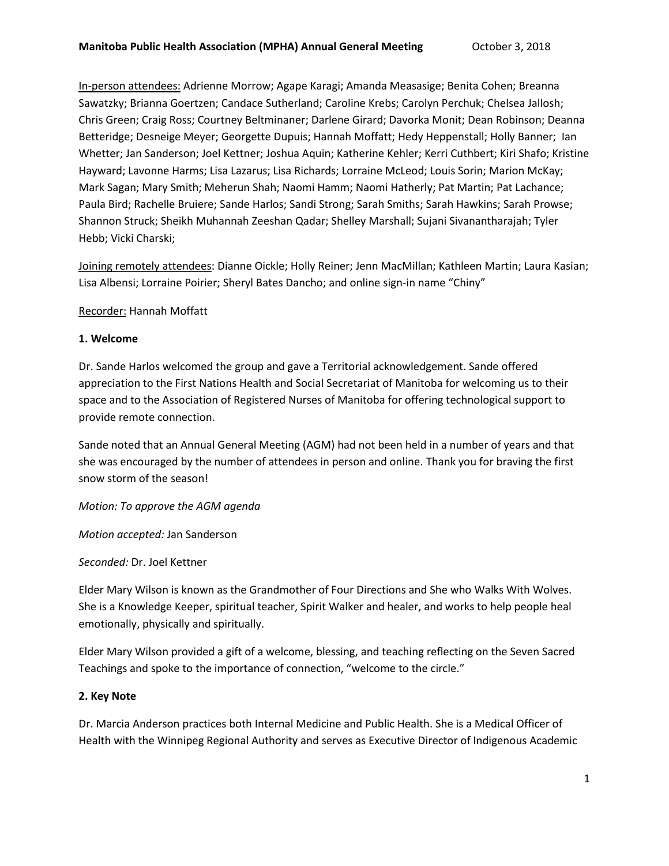In-person attendees: Adrienne Morrow; Agape Karagi; Amanda Measasige; Benita Cohen; Breanna Sawatzky; Brianna Goertzen; Candace Sutherland; Caroline Krebs; Carolyn Perchuk; Chelsea Jallosh; Chris Green; Craig Ross; Courtney Beltminaner; Darlene Girard; Davorka Monit; Dean Robinson; Deanna Betteridge; Desneige Meyer; Georgette Dupuis; Hannah Moffatt; Hedy Heppenstall; Holly Banner; Ian Whetter; Jan Sanderson; Joel Kettner; Joshua Aquin; Katherine Kehler; Kerri Cuthbert; Kiri Shafo; Kristine Hayward; Lavonne Harms; Lisa Lazarus; Lisa Richards; Lorraine McLeod; Louis Sorin; Marion McKay; Mark Sagan; Mary Smith; Meherun Shah; Naomi Hamm; Naomi Hatherly; Pat Martin; Pat Lachance; Paula Bird; Rachelle Bruiere; Sande Harlos; Sandi Strong; Sarah Smiths; Sarah Hawkins; Sarah Prowse; Shannon Struck; Sheikh Muhannah Zeeshan Qadar; Shelley Marshall; Sujani Sivanantharajah; Tyler Hebb; Vicki Charski;

Joining remotely attendees: Dianne Oickle; Holly Reiner; Jenn MacMillan; Kathleen Martin; Laura Kasian; Lisa Albensi; Lorraine Poirier; Sheryl Bates Dancho; and online sign-in name "Chiny"

### Recorder: Hannah Moffatt

#### **1. Welcome**

Dr. Sande Harlos welcomed the group and gave a Territorial acknowledgement. Sande offered appreciation to the First Nations Health and Social Secretariat of Manitoba for welcoming us to their space and to the Association of Registered Nurses of Manitoba for offering technological support to provide remote connection.

Sande noted that an Annual General Meeting (AGM) had not been held in a number of years and that she was encouraged by the number of attendees in person and online. Thank you for braving the first snow storm of the season!

*Motion: To approve the AGM agenda*

*Motion accepted:* Jan Sanderson

*Seconded:* Dr. Joel Kettner

Elder Mary Wilson is known as the Grandmother of Four Directions and She who Walks With Wolves. She is a Knowledge Keeper, spiritual teacher, Spirit Walker and healer, and works to help people heal emotionally, physically and spiritually.

Elder Mary Wilson provided a gift of a welcome, blessing, and teaching reflecting on the Seven Sacred Teachings and spoke to the importance of connection, "welcome to the circle."

### **2. Key Note**

Dr. Marcia Anderson practices both Internal Medicine and Public Health. She is a Medical Officer of Health with the Winnipeg Regional Authority and serves as Executive Director of Indigenous Academic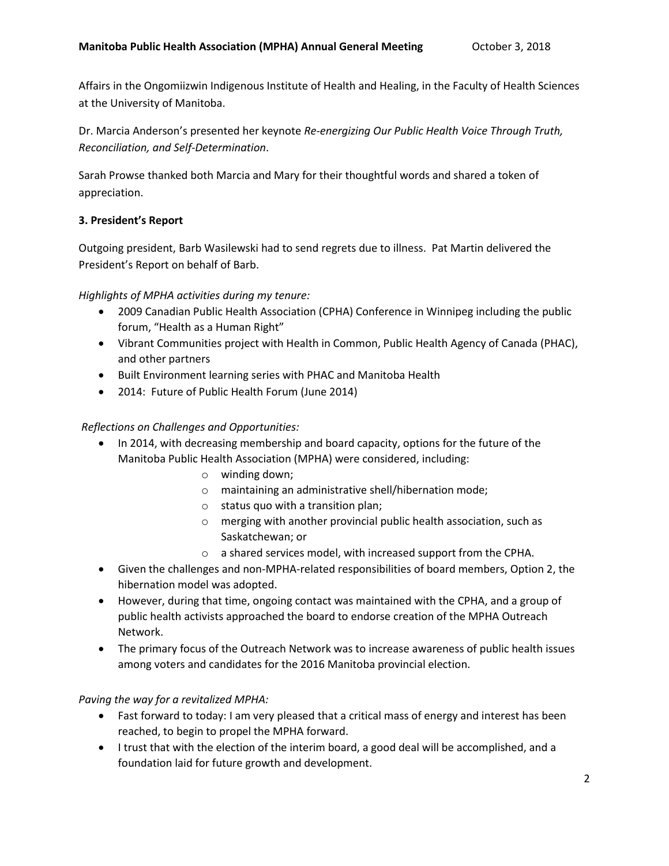Affairs in the Ongomiizwin Indigenous Institute of Health and Healing, in the Faculty of Health Sciences at the University of Manitoba.

Dr. Marcia Anderson's presented her keynote *Re-energizing Our Public Health Voice Through Truth, Reconciliation, and Self-Determination*.

Sarah Prowse thanked both Marcia and Mary for their thoughtful words and shared a token of appreciation.

# **3. President's Report**

Outgoing president, Barb Wasilewski had to send regrets due to illness. Pat Martin delivered the President's Report on behalf of Barb.

## *Highlights of MPHA activities during my tenure:*

- 2009 Canadian Public Health Association (CPHA) Conference in Winnipeg including the public forum, "Health as a Human Right"
- Vibrant Communities project with Health in Common, Public Health Agency of Canada (PHAC), and other partners
- Built Environment learning series with PHAC and Manitoba Health
- 2014: Future of Public Health Forum (June 2014)

# *Reflections on Challenges and Opportunities:*

- In 2014, with decreasing membership and board capacity, options for the future of the Manitoba Public Health Association (MPHA) were considered, including:
	- o winding down;
	- o maintaining an administrative shell/hibernation mode;
	- o status quo with a transition plan;
	- o merging with another provincial public health association, such as Saskatchewan; or
	- o a shared services model, with increased support from the CPHA.
- Given the challenges and non-MPHA-related responsibilities of board members, Option 2, the hibernation model was adopted.
- However, during that time, ongoing contact was maintained with the CPHA, and a group of public health activists approached the board to endorse creation of the MPHA Outreach Network.
- The primary focus of the Outreach Network was to increase awareness of public health issues among voters and candidates for the 2016 Manitoba provincial election.

### *Paving the way for a revitalized MPHA:*

- Fast forward to today: I am very pleased that a critical mass of energy and interest has been reached, to begin to propel the MPHA forward.
- I trust that with the election of the interim board, a good deal will be accomplished, and a foundation laid for future growth and development.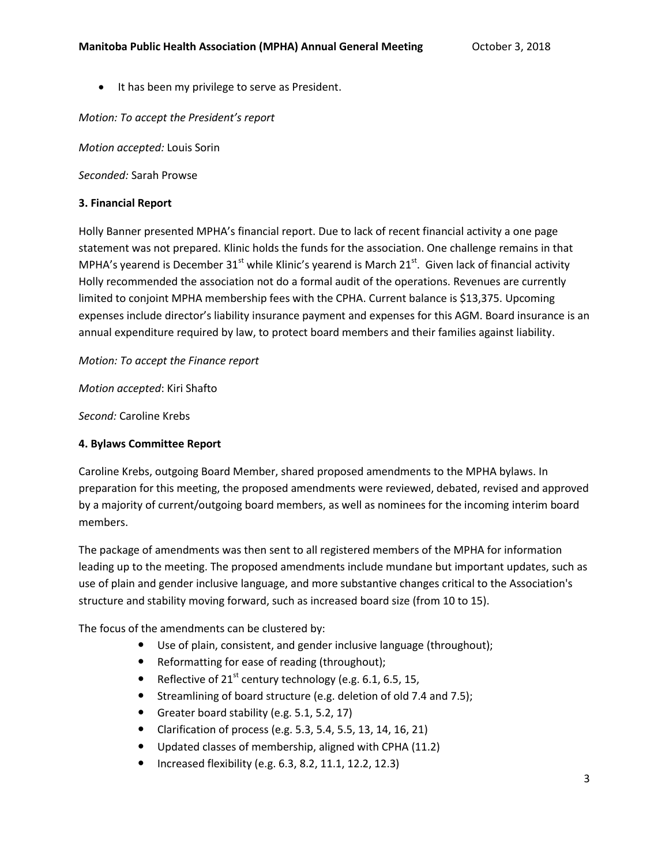• It has been my privilege to serve as President.

*Motion: To accept the President's report*

*Motion accepted:* Louis Sorin

*Seconded:* Sarah Prowse

# **3. Financial Report**

Holly Banner presented MPHA's financial report. Due to lack of recent financial activity a one page statement was not prepared. Klinic holds the funds for the association. One challenge remains in that MPHA's yearend is December 31 $st$  while Klinic's yearend is March 21 $st$ . Given lack of financial activity Holly recommended the association not do a formal audit of the operations. Revenues are currently limited to conjoint MPHA membership fees with the CPHA. Current balance is \$13,375. Upcoming expenses include director's liability insurance payment and expenses for this AGM. Board insurance is an annual expenditure required by law, to protect board members and their families against liability.

*Motion: To accept the Finance report*

*Motion accepted*: Kiri Shafto

*Second:* Caroline Krebs

# **4. Bylaws Committee Report**

Caroline Krebs, outgoing Board Member, shared proposed amendments to the MPHA bylaws. In preparation for this meeting, the proposed amendments were reviewed, debated, revised and approved by a majority of current/outgoing board members, as well as nominees for the incoming interim board members.

The package of amendments was then sent to all registered members of the MPHA for information leading up to the meeting. The proposed amendments include mundane but important updates, such as use of plain and gender inclusive language, and more substantive changes critical to the Association's structure and stability moving forward, such as increased board size (from 10 to 15).

The focus of the amendments can be clustered by:

- Use of plain, consistent, and gender inclusive language (throughout);
- Reformatting for ease of reading (throughout);
- Reflective of  $21^{st}$  century technology (e.g. 6.1, 6.5, 15,
- Streamlining of board structure (e.g. deletion of old 7.4 and 7.5);
- Greater board stability (e.g. 5.1, 5.2, 17)
- Clarification of process (e.g. 5.3, 5.4, 5.5, 13, 14, 16, 21)
- Updated classes of membership, aligned with CPHA (11.2)
- Increased flexibility (e.g. 6.3, 8.2, 11.1, 12.2, 12.3)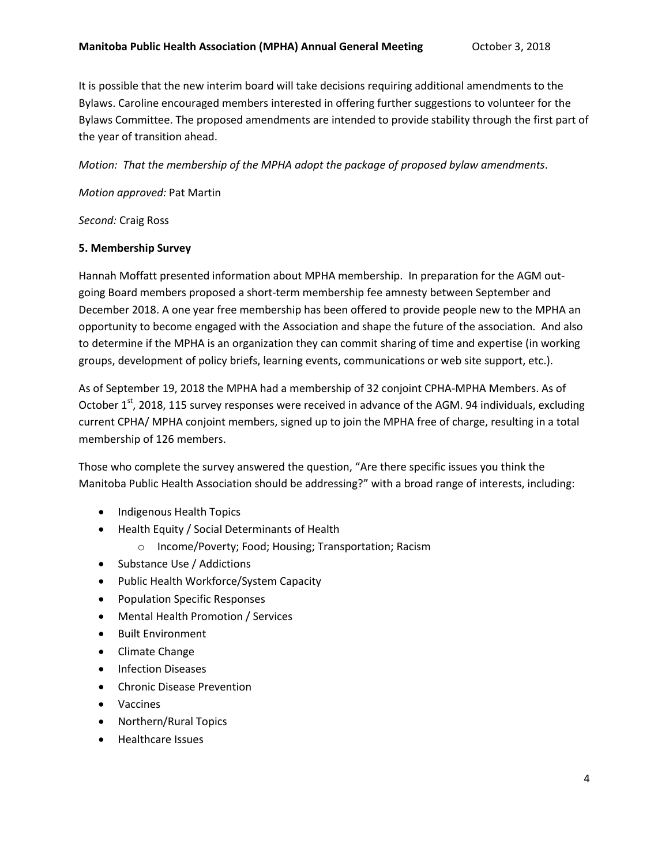It is possible that the new interim board will take decisions requiring additional amendments to the Bylaws. Caroline encouraged members interested in offering further suggestions to volunteer for the Bylaws Committee. The proposed amendments are intended to provide stability through the first part of the year of transition ahead.

*Motion: That the membership of the MPHA adopt the package of proposed bylaw amendments*.

### *Motion approved:* Pat Martin

*Second:* Craig Ross

### **5. Membership Survey**

Hannah Moffatt presented information about MPHA membership. In preparation for the AGM outgoing Board members proposed a short-term membership fee amnesty between September and December 2018. A one year free membership has been offered to provide people new to the MPHA an opportunity to become engaged with the Association and shape the future of the association. And also to determine if the MPHA is an organization they can commit sharing of time and expertise (in working groups, development of policy briefs, learning events, communications or web site support, etc.).

As of September 19, 2018 the MPHA had a membership of 32 conjoint CPHA-MPHA Members. As of October  $1<sup>st</sup>$ , 2018, 115 survey responses were received in advance of the AGM. 94 individuals, excluding current CPHA/ MPHA conjoint members, signed up to join the MPHA free of charge, resulting in a total membership of 126 members.

Those who complete the survey answered the question, "Are there specific issues you think the Manitoba Public Health Association should be addressing?" with a broad range of interests, including:

- Indigenous Health Topics
- Health Equity / Social Determinants of Health
	- o Income/Poverty; Food; Housing; Transportation; Racism
- Substance Use / Addictions
- Public Health Workforce/System Capacity
- **•** Population Specific Responses
- Mental Health Promotion / Services
- Built Environment
- Climate Change
- Infection Diseases
- Chronic Disease Prevention
- Vaccines
- Northern/Rural Topics
- Healthcare Issues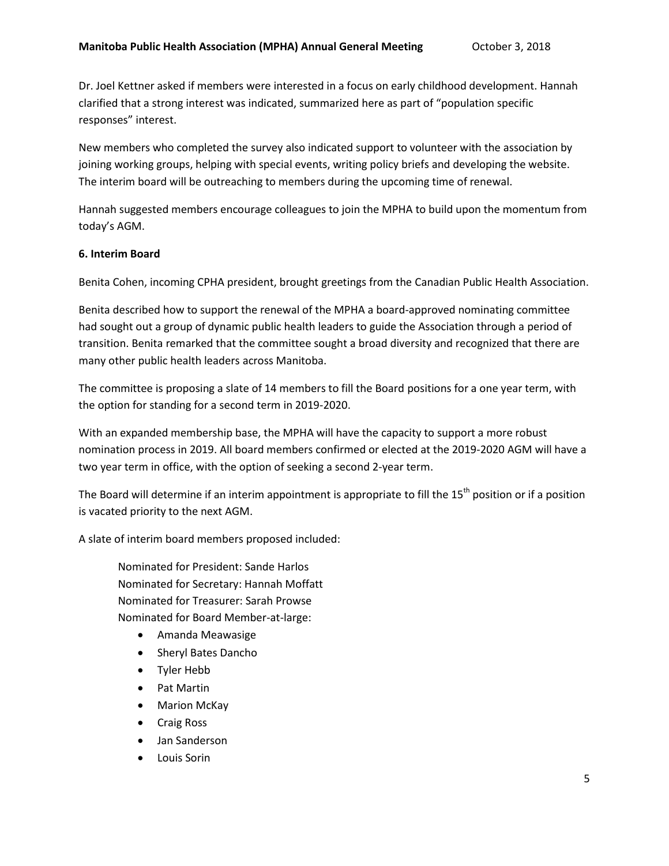Dr. Joel Kettner asked if members were interested in a focus on early childhood development. Hannah clarified that a strong interest was indicated, summarized here as part of "population specific responses" interest.

New members who completed the survey also indicated support to volunteer with the association by joining working groups, helping with special events, writing policy briefs and developing the website. The interim board will be outreaching to members during the upcoming time of renewal.

Hannah suggested members encourage colleagues to join the MPHA to build upon the momentum from today's AGM.

### **6. Interim Board**

Benita Cohen, incoming CPHA president, brought greetings from the Canadian Public Health Association.

Benita described how to support the renewal of the MPHA a board-approved nominating committee had sought out a group of dynamic public health leaders to guide the Association through a period of transition. Benita remarked that the committee sought a broad diversity and recognized that there are many other public health leaders across Manitoba.

The committee is proposing a slate of 14 members to fill the Board positions for a one year term, with the option for standing for a second term in 2019-2020.

With an expanded membership base, the MPHA will have the capacity to support a more robust nomination process in 2019. All board members confirmed or elected at the 2019-2020 AGM will have a two year term in office, with the option of seeking a second 2-year term.

The Board will determine if an interim appointment is appropriate to fill the 15<sup>th</sup> position or if a position is vacated priority to the next AGM.

A slate of interim board members proposed included:

Nominated for President: Sande Harlos Nominated for Secretary: Hannah Moffatt Nominated for Treasurer: Sarah Prowse Nominated for Board Member-at-large:

- Amanda Meawasige
- Sheryl Bates Dancho
- Tyler Hebb
- Pat Martin
- Marion McKay
- Craig Ross
- Jan Sanderson
- Louis Sorin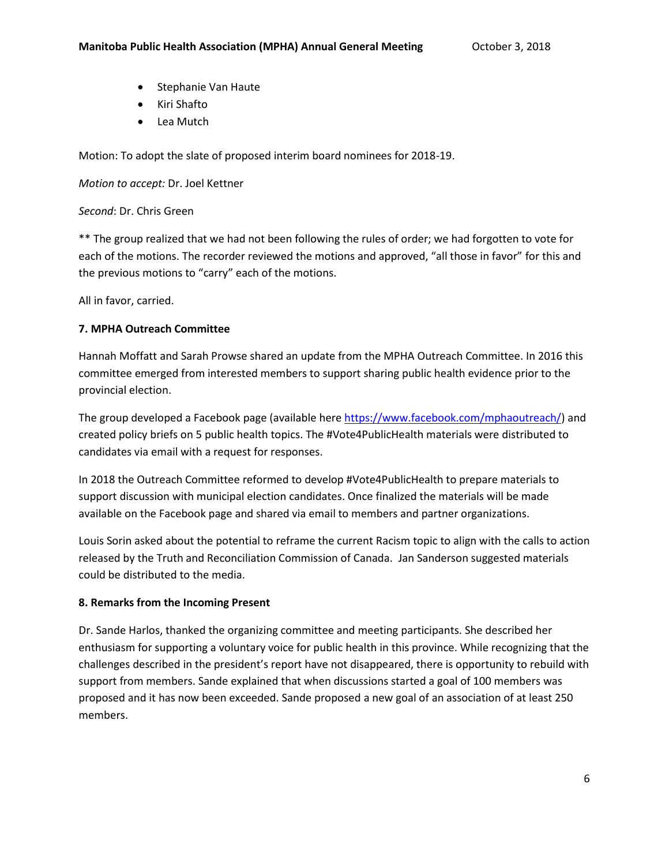- Stephanie Van Haute
- Kiri Shafto
- Lea Mutch

Motion: To adopt the slate of proposed interim board nominees for 2018-19.

*Motion to accept:* Dr. Joel Kettner

*Second*: Dr. Chris Green

\*\* The group realized that we had not been following the rules of order; we had forgotten to vote for each of the motions. The recorder reviewed the motions and approved, "all those in favor" for this and the previous motions to "carry" each of the motions.

All in favor, carried.

## **7. MPHA Outreach Committee**

Hannah Moffatt and Sarah Prowse shared an update from the MPHA Outreach Committee. In 2016 this committee emerged from interested members to support sharing public health evidence prior to the provincial election.

The group developed a Facebook page (available here [https://www.facebook.com/mphaoutreach/\)](https://www.facebook.com/mphaoutreach/) and created policy briefs on 5 public health topics. The #Vote4PublicHealth materials were distributed to candidates via email with a request for responses.

In 2018 the Outreach Committee reformed to develop #Vote4PublicHealth to prepare materials to support discussion with municipal election candidates. Once finalized the materials will be made available on the Facebook page and shared via email to members and partner organizations.

Louis Sorin asked about the potential to reframe the current Racism topic to align with the calls to action released by the Truth and Reconciliation Commission of Canada. Jan Sanderson suggested materials could be distributed to the media.

### **8. Remarks from the Incoming Present**

Dr. Sande Harlos, thanked the organizing committee and meeting participants. She described her enthusiasm for supporting a voluntary voice for public health in this province. While recognizing that the challenges described in the president's report have not disappeared, there is opportunity to rebuild with support from members. Sande explained that when discussions started a goal of 100 members was proposed and it has now been exceeded. Sande proposed a new goal of an association of at least 250 members.